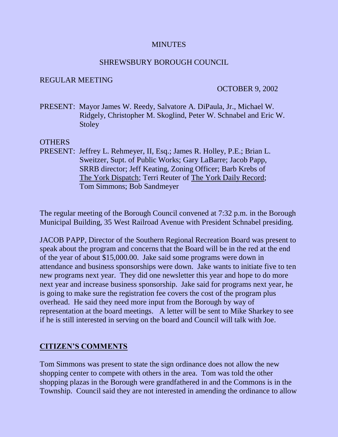#### **MINUTES**

#### SHREWSBURY BOROUGH COUNCIL

#### REGULAR MEETING

#### OCTOBER 9, 2002

PRESENT: Mayor James W. Reedy, Salvatore A. DiPaula, Jr., Michael W. Ridgely, Christopher M. Skoglind, Peter W. Schnabel and Eric W. Stoley

#### OTHERS

PRESENT: Jeffrey L. Rehmeyer, II, Esq.; James R. Holley, P.E.; Brian L. Sweitzer, Supt. of Public Works; Gary LaBarre; Jacob Papp, SRRB director; Jeff Keating, Zoning Officer; Barb Krebs of The York Dispatch; Terri Reuter of The York Daily Record; Tom Simmons; Bob Sandmeyer

The regular meeting of the Borough Council convened at 7:32 p.m. in the Borough Municipal Building, 35 West Railroad Avenue with President Schnabel presiding.

JACOB PAPP, Director of the Southern Regional Recreation Board was present to speak about the program and concerns that the Board will be in the red at the end of the year of about \$15,000.00. Jake said some programs were down in attendance and business sponsorships were down. Jake wants to initiate five to ten new programs next year. They did one newsletter this year and hope to do more next year and increase business sponsorship. Jake said for programs next year, he is going to make sure the registration fee covers the cost of the program plus overhead. He said they need more input from the Borough by way of representation at the board meetings. A letter will be sent to Mike Sharkey to see if he is still interested in serving on the board and Council will talk with Joe.

### **CITIZEN'S COMMENTS**

Tom Simmons was present to state the sign ordinance does not allow the new shopping center to compete with others in the area. Tom was told the other shopping plazas in the Borough were grandfathered in and the Commons is in the Township. Council said they are not interested in amending the ordinance to allow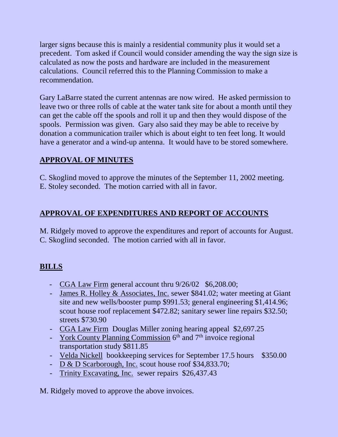larger signs because this is mainly a residential community plus it would set a precedent. Tom asked if Council would consider amending the way the sign size is calculated as now the posts and hardware are included in the measurement calculations. Council referred this to the Planning Commission to make a recommendation.

Gary LaBarre stated the current antennas are now wired. He asked permission to leave two or three rolls of cable at the water tank site for about a month until they can get the cable off the spools and roll it up and then they would dispose of the spools. Permission was given. Gary also said they may be able to receive by donation a communication trailer which is about eight to ten feet long. It would have a generator and a wind-up antenna. It would have to be stored somewhere.

## **APPROVAL OF MINUTES**

C. Skoglind moved to approve the minutes of the September 11, 2002 meeting. E. Stoley seconded. The motion carried with all in favor.

## **APPROVAL OF EXPENDITURES AND REPORT OF ACCOUNTS**

M. Ridgely moved to approve the expenditures and report of accounts for August. C. Skoglind seconded. The motion carried with all in favor.

# **BILLS**

- CGA Law Firm general account thru  $9/26/02$  \$6,208.00;
- James R. Holley & Associates, Inc. sewer \$841.02; water meeting at Giant site and new wells/booster pump \$991.53; general engineering \$1,414.96; scout house roof replacement \$472.82; sanitary sewer line repairs \$32.50; streets \$730.90
- CGA Law Firm Douglas Miller zoning hearing appeal \$2,697.25
- York County Planning Commission 6<sup>th</sup> and 7<sup>th</sup> invoice regional transportation study \$811.85
- Velda Nickell bookkeeping services for September 17.5 hours \$350.00
- D & D Scarborough, Inc. scout house roof \$34,833.70;
- Trinity Excavating, Inc. sewer repairs \$26,437.43

M. Ridgely moved to approve the above invoices.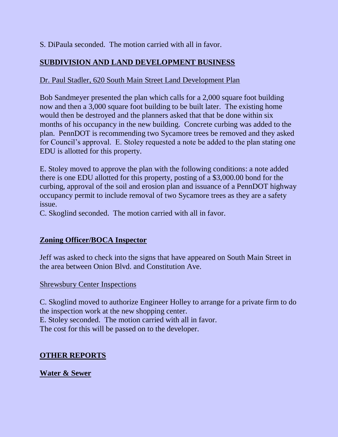S. DiPaula seconded. The motion carried with all in favor.

## **SUBDIVISION AND LAND DEVELOPMENT BUSINESS**

## Dr. Paul Stadler, 620 South Main Street Land Development Plan

Bob Sandmeyer presented the plan which calls for a 2,000 square foot building now and then a 3,000 square foot building to be built later. The existing home would then be destroyed and the planners asked that that be done within six months of his occupancy in the new building. Concrete curbing was added to the plan. PennDOT is recommending two Sycamore trees be removed and they asked for Council's approval. E. Stoley requested a note be added to the plan stating one EDU is allotted for this property.

E. Stoley moved to approve the plan with the following conditions: a note added there is one EDU allotted for this property, posting of a \$3,000.00 bond for the curbing, approval of the soil and erosion plan and issuance of a PennDOT highway occupancy permit to include removal of two Sycamore trees as they are a safety issue.

C. Skoglind seconded. The motion carried with all in favor.

### **Zoning Officer/BOCA Inspector**

Jeff was asked to check into the signs that have appeared on South Main Street in the area between Onion Blvd. and Constitution Ave.

### Shrewsbury Center Inspections

C. Skoglind moved to authorize Engineer Holley to arrange for a private firm to do the inspection work at the new shopping center. E. Stoley seconded. The motion carried with all in favor.

The cost for this will be passed on to the developer.

## **OTHER REPORTS**

### **Water & Sewer**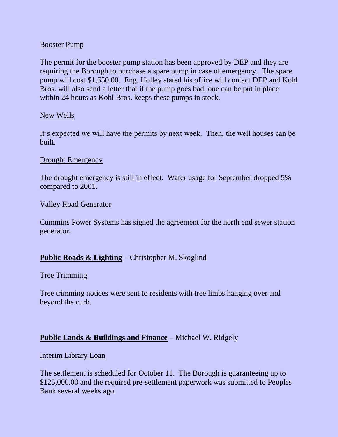#### Booster Pump

The permit for the booster pump station has been approved by DEP and they are requiring the Borough to purchase a spare pump in case of emergency. The spare pump will cost \$1,650.00. Eng. Holley stated his office will contact DEP and Kohl Bros. will also send a letter that if the pump goes bad, one can be put in place within 24 hours as Kohl Bros. keeps these pumps in stock.

#### New Wells

It's expected we will have the permits by next week. Then, the well houses can be built.

#### Drought Emergency

The drought emergency is still in effect. Water usage for September dropped 5% compared to 2001.

#### Valley Road Generator

Cummins Power Systems has signed the agreement for the north end sewer station generator.

### **Public Roads & Lighting** – Christopher M. Skoglind

#### Tree Trimming

Tree trimming notices were sent to residents with tree limbs hanging over and beyond the curb.

#### **Public Lands & Buildings and Finance** – Michael W. Ridgely

#### Interim Library Loan

The settlement is scheduled for October 11. The Borough is guaranteeing up to \$125,000.00 and the required pre-settlement paperwork was submitted to Peoples Bank several weeks ago.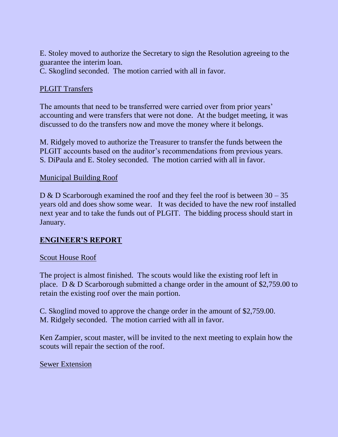E. Stoley moved to authorize the Secretary to sign the Resolution agreeing to the guarantee the interim loan.

C. Skoglind seconded. The motion carried with all in favor.

## PLGIT Transfers

The amounts that need to be transferred were carried over from prior years' accounting and were transfers that were not done. At the budget meeting, it was discussed to do the transfers now and move the money where it belongs.

M. Ridgely moved to authorize the Treasurer to transfer the funds between the PLGIT accounts based on the auditor's recommendations from previous years. S. DiPaula and E. Stoley seconded. The motion carried with all in favor.

## Municipal Building Roof

D & D Scarborough examined the roof and they feel the roof is between 30 – 35 years old and does show some wear. It was decided to have the new roof installed next year and to take the funds out of PLGIT. The bidding process should start in January.

## **ENGINEER'S REPORT**

### Scout House Roof

The project is almost finished. The scouts would like the existing roof left in place. D & D Scarborough submitted a change order in the amount of \$2,759.00 to retain the existing roof over the main portion.

C. Skoglind moved to approve the change order in the amount of \$2,759.00. M. Ridgely seconded. The motion carried with all in favor.

Ken Zampier, scout master, will be invited to the next meeting to explain how the scouts will repair the section of the roof.

### Sewer Extension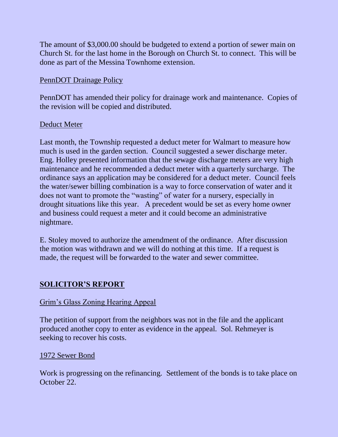The amount of \$3,000.00 should be budgeted to extend a portion of sewer main on Church St. for the last home in the Borough on Church St. to connect. This will be done as part of the Messina Townhome extension.

### PennDOT Drainage Policy

PennDOT has amended their policy for drainage work and maintenance. Copies of the revision will be copied and distributed.

### Deduct Meter

Last month, the Township requested a deduct meter for Walmart to measure how much is used in the garden section. Council suggested a sewer discharge meter. Eng. Holley presented information that the sewage discharge meters are very high maintenance and he recommended a deduct meter with a quarterly surcharge. The ordinance says an application may be considered for a deduct meter. Council feels the water/sewer billing combination is a way to force conservation of water and it does not want to promote the "wasting" of water for a nursery, especially in drought situations like this year. A precedent would be set as every home owner and business could request a meter and it could become an administrative nightmare.

E. Stoley moved to authorize the amendment of the ordinance. After discussion the motion was withdrawn and we will do nothing at this time. If a request is made, the request will be forwarded to the water and sewer committee.

## **SOLICITOR'S REPORT**

### Grim's Glass Zoning Hearing Appeal

The petition of support from the neighbors was not in the file and the applicant produced another copy to enter as evidence in the appeal. Sol. Rehmeyer is seeking to recover his costs.

### 1972 Sewer Bond

Work is progressing on the refinancing. Settlement of the bonds is to take place on October 22.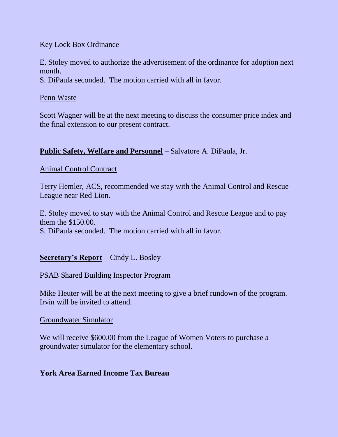### Key Lock Box Ordinance

E. Stoley moved to authorize the advertisement of the ordinance for adoption next month.

S. DiPaula seconded. The motion carried with all in favor.

#### Penn Waste

Scott Wagner will be at the next meeting to discuss the consumer price index and the final extension to our present contract.

### **Public Safety, Welfare and Personnel** – Salvatore A. DiPaula, Jr.

### Animal Control Contract

Terry Hemler, ACS, recommended we stay with the Animal Control and Rescue League near Red Lion.

E. Stoley moved to stay with the Animal Control and Rescue League and to pay them the \$150.00.

S. DiPaula seconded. The motion carried with all in favor.

### **Secretary's Report** – Cindy L. Bosley

### PSAB Shared Building Inspector Program

Mike Heuter will be at the next meeting to give a brief rundown of the program. Irvin will be invited to attend.

### Groundwater Simulator

We will receive \$600.00 from the League of Women Voters to purchase a groundwater simulator for the elementary school.

### **York Area Earned Income Tax Bureau**